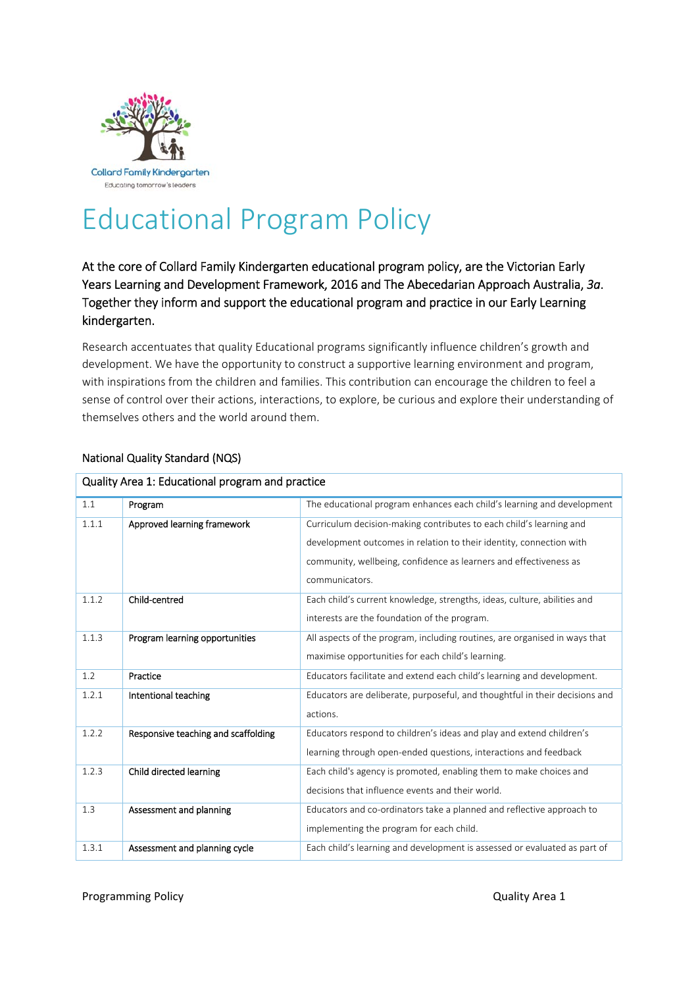

# Educational Program Policy

# At the core of Collard Family Kindergarten educational program policy, are the Victorian Early Years Learning and Development Framework, 2016 and The Abecedarian Approach Australia, *3a*. Together they inform and support the educational program and practice in our Early Learning kindergarten.

Research accentuates that quality Educational programs significantly influence children's growth and development. We have the opportunity to construct a supportive learning environment and program, with inspirations from the children and families. This contribution can encourage the children to feel a sense of control over their actions, interactions, to explore, be curious and explore their understanding of themselves others and the world around them.

| Quality Area 1: Educational program and practice |                                     |                                                                             |  |  |
|--------------------------------------------------|-------------------------------------|-----------------------------------------------------------------------------|--|--|
| 1.1                                              | Program                             | The educational program enhances each child's learning and development      |  |  |
| 1.1.1                                            | Approved learning framework         | Curriculum decision-making contributes to each child's learning and         |  |  |
|                                                  |                                     | development outcomes in relation to their identity, connection with         |  |  |
|                                                  |                                     | community, wellbeing, confidence as learners and effectiveness as           |  |  |
|                                                  |                                     | communicators.                                                              |  |  |
| 1.1.2                                            | Child-centred                       | Each child's current knowledge, strengths, ideas, culture, abilities and    |  |  |
|                                                  |                                     | interests are the foundation of the program.                                |  |  |
| 1.1.3                                            | Program learning opportunities      | All aspects of the program, including routines, are organised in ways that  |  |  |
|                                                  |                                     | maximise opportunities for each child's learning.                           |  |  |
| 1.2                                              | Practice                            | Educators facilitate and extend each child's learning and development.      |  |  |
| 1.2.1                                            | Intentional teaching                | Educators are deliberate, purposeful, and thoughtful in their decisions and |  |  |
|                                                  |                                     | actions.                                                                    |  |  |
| 1.2.2                                            | Responsive teaching and scaffolding | Educators respond to children's ideas and play and extend children's        |  |  |
|                                                  |                                     | learning through open-ended questions, interactions and feedback            |  |  |
| 1.2.3                                            | Child directed learning             | Each child's agency is promoted, enabling them to make choices and          |  |  |
|                                                  |                                     | decisions that influence events and their world.                            |  |  |
| 1.3                                              | Assessment and planning             | Educators and co-ordinators take a planned and reflective approach to       |  |  |
|                                                  |                                     | implementing the program for each child.                                    |  |  |
| 1.3.1                                            | Assessment and planning cycle       | Each child's learning and development is assessed or evaluated as part of   |  |  |

# National Quality Standard (NQS)

# Programming Policy **Contains a struck of the Container Struck** and the Council of The Council of The Council of The Council of The Council of The Council of The Council of The Council of The Council of The Council of The C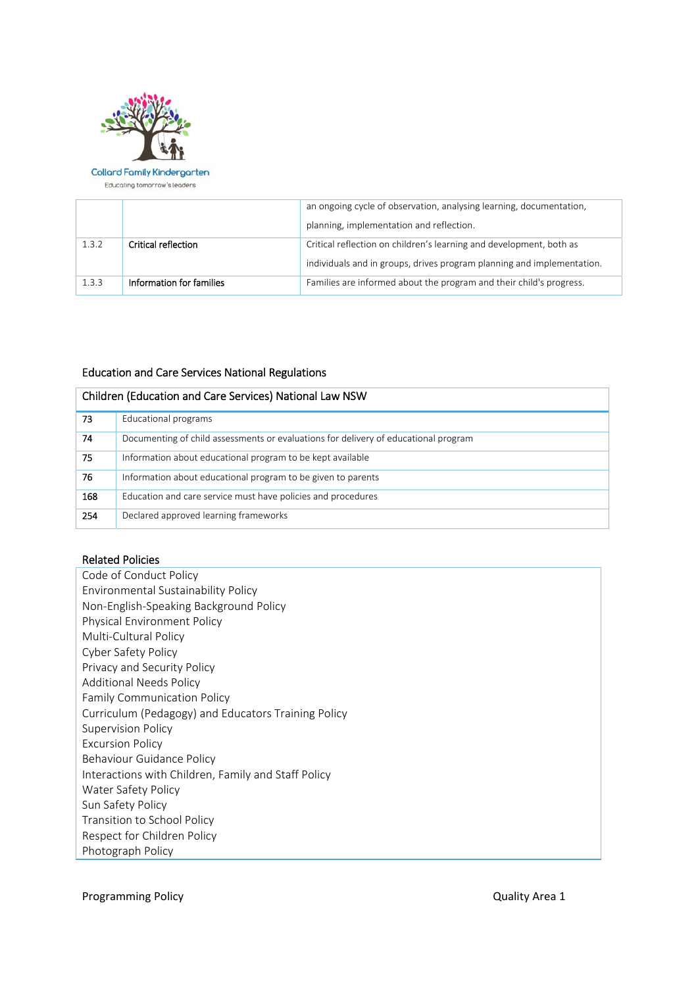

# Collard Family Kindergarten

Educating tomorrow's leaders

|       |                                                                                            | an ongoing cycle of observation, analysing learning, documentation,    |
|-------|--------------------------------------------------------------------------------------------|------------------------------------------------------------------------|
|       |                                                                                            | planning, implementation and reflection.                               |
| 1.3.2 | Critical reflection on children's learning and development, both as<br>Critical reflection |                                                                        |
|       |                                                                                            | individuals and in groups, drives program planning and implementation. |
| 1.3.3 | Information for families                                                                   | Families are informed about the program and their child's progress.    |

#### Education and Care Services National Regulations

| Children (Education and Care Services) National Law NSW |                                                                                     |  |  |  |
|---------------------------------------------------------|-------------------------------------------------------------------------------------|--|--|--|
| 73                                                      | Educational programs                                                                |  |  |  |
| 74                                                      | Documenting of child assessments or evaluations for delivery of educational program |  |  |  |
| 75                                                      | Information about educational program to be kept available                          |  |  |  |
| 76                                                      | Information about educational program to be given to parents                        |  |  |  |
| 168                                                     | Education and care service must have policies and procedures                        |  |  |  |
| 254                                                     | Declared approved learning frameworks                                               |  |  |  |

# Related Policies

Code of Conduct Policy Environmental Sustainability Policy Non‐English‐Speaking Background Policy Physical Environment Policy Multi‐Cultural Policy Cyber Safety Policy Privacy and Security Policy Additional Needs Policy Family Communication Policy Curriculum (Pedagogy) and Educators Training Policy Supervision Policy Excursion Policy Behaviour Guidance Policy Interactions with Children, Family and Staff Policy Water Safety Policy Sun Safety Policy Transition to School Policy Respect for Children Policy Photograph Policy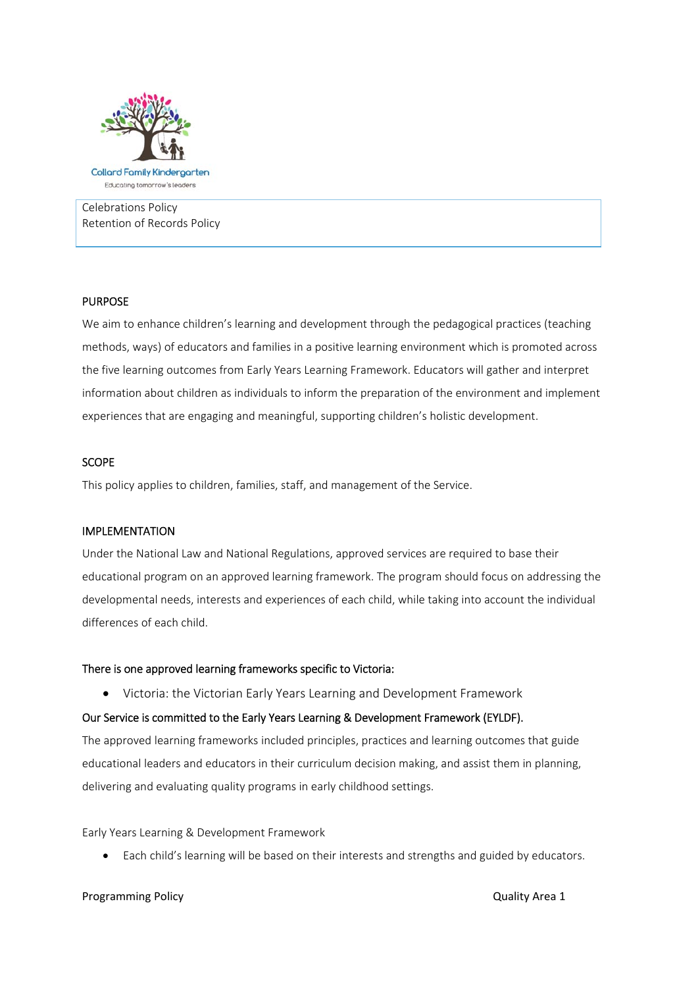

Celebrations Policy Retention of Records Policy

# PURPOSE

We aim to enhance children's learning and development through the pedagogical practices (teaching methods, ways) of educators and families in a positive learning environment which is promoted across the five learning outcomes from Early Years Learning Framework. Educators will gather and interpret information about children as individuals to inform the preparation of the environment and implement experiences that are engaging and meaningful, supporting children's holistic development.

## **SCOPE**

This policy applies to children, families, staff, and management of the Service.

## IMPLEMENTATION

Under the National Law and National Regulations, approved services are required to base their educational program on an approved learning framework. The program should focus on addressing the developmental needs, interests and experiences of each child, while taking into account the individual differences of each child.

#### There is one approved learning frameworks specific to Victoria:

Victoria: the Victorian Early Years Learning and Development Framework

#### Our Service is committed to the Early Years Learning & Development Framework (EYLDF).

The approved learning frameworks included principles, practices and learning outcomes that guide educational leaders and educators in their curriculum decision making, and assist them in planning, delivering and evaluating quality programs in early childhood settings.

Early Years Learning & Development Framework

Each child's learning will be based on their interests and strengths and guided by educators.

#### Programming Policy **Contains a struck of the Container Struck** and the Council of The Council of The Council of The Council of The Council of The Council of The Council of The Council of The Council of The Council of The C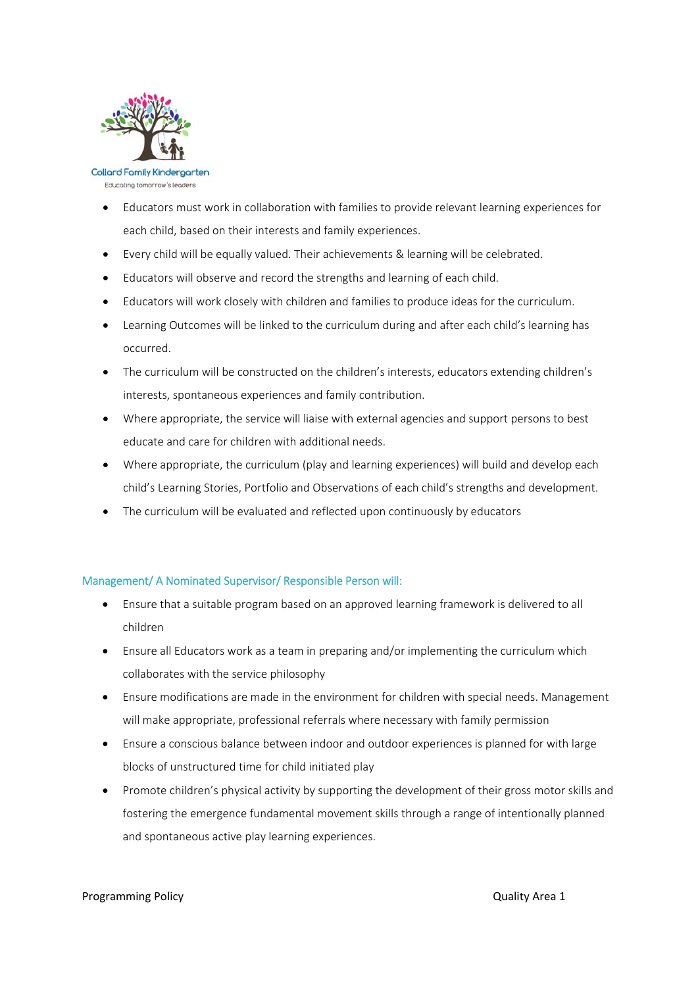

Educating tomorrow's leaders

- Educators must work in collaboration with families to provide relevant learning experiences for each child, based on their interests and family experiences.
- Every child will be equally valued. Their achievements & learning will be celebrated.
- Educators will observe and record the strengths and learning of each child.
- Educators will work closely with children and families to produce ideas for the curriculum.
- Learning Outcomes will be linked to the curriculum during and after each child's learning has occurred.
- The curriculum will be constructed on the children's interests, educators extending children's interests, spontaneous experiences and family contribution.
- Where appropriate, the service will liaise with external agencies and support persons to best educate and care for children with additional needs.
- Where appropriate, the curriculum (play and learning experiences) will build and develop each child's Learning Stories, Portfolio and Observations of each child's strengths and development.
- The curriculum will be evaluated and reflected upon continuously by educators

# Management/ A Nominated Supervisor/ Responsible Person will:

- Ensure that a suitable program based on an approved learning framework is delivered to all children
- Ensure all Educators work as a team in preparing and/or implementing the curriculum which collaborates with the service philosophy
- Ensure modifications are made in the environment for children with special needs. Management will make appropriate, professional referrals where necessary with family permission
- Ensure a conscious balance between indoor and outdoor experiences is planned for with large blocks of unstructured time for child initiated play
- Promote children's physical activity by supporting the development of their gross motor skills and fostering the emergence fundamental movement skills through a range of intentionally planned and spontaneous active play learning experiences.

#### Programming Policy **Contains a struck of the Container Struck** Contains a Cuality Area 1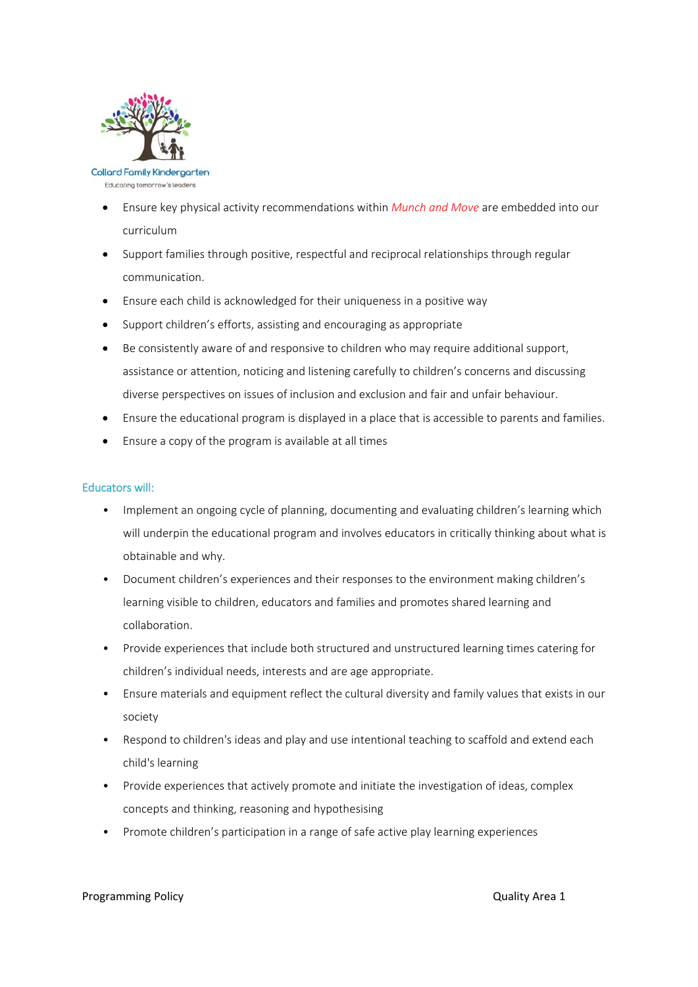

Educating tomorrow's leaders

- Ensure key physical activity recommendations within *Munch and Move* are embedded into our curriculum
- Support families through positive, respectful and reciprocal relationships through regular communication.
- Ensure each child is acknowledged for their uniqueness in a positive way
- Support children's efforts, assisting and encouraging as appropriate
- Be consistently aware of and responsive to children who may require additional support, assistance or attention, noticing and listening carefully to children's concerns and discussing diverse perspectives on issues of inclusion and exclusion and fair and unfair behaviour.
- Ensure the educational program is displayed in a place that is accessible to parents and families.
- Ensure a copy of the program is available at all times

## Educators will:

- Implement an ongoing cycle of planning, documenting and evaluating children's learning which will underpin the educational program and involves educators in critically thinking about what is obtainable and why.
- Document children's experiences and their responses to the environment making children's learning visible to children, educators and families and promotes shared learning and collaboration.
- Provide experiences that include both structured and unstructured learning times catering for children's individual needs, interests and are age appropriate.
- Ensure materials and equipment reflect the cultural diversity and family values that exists in our society
- Respond to children's ideas and play and use intentional teaching to scaffold and extend each child's learning
- Provide experiences that actively promote and initiate the investigation of ideas, complex concepts and thinking, reasoning and hypothesising
- Promote children's participation in a range of safe active play learning experiences

#### Programming Policy **Contains a struck of the Container Struck** Contains a Cuality Area 1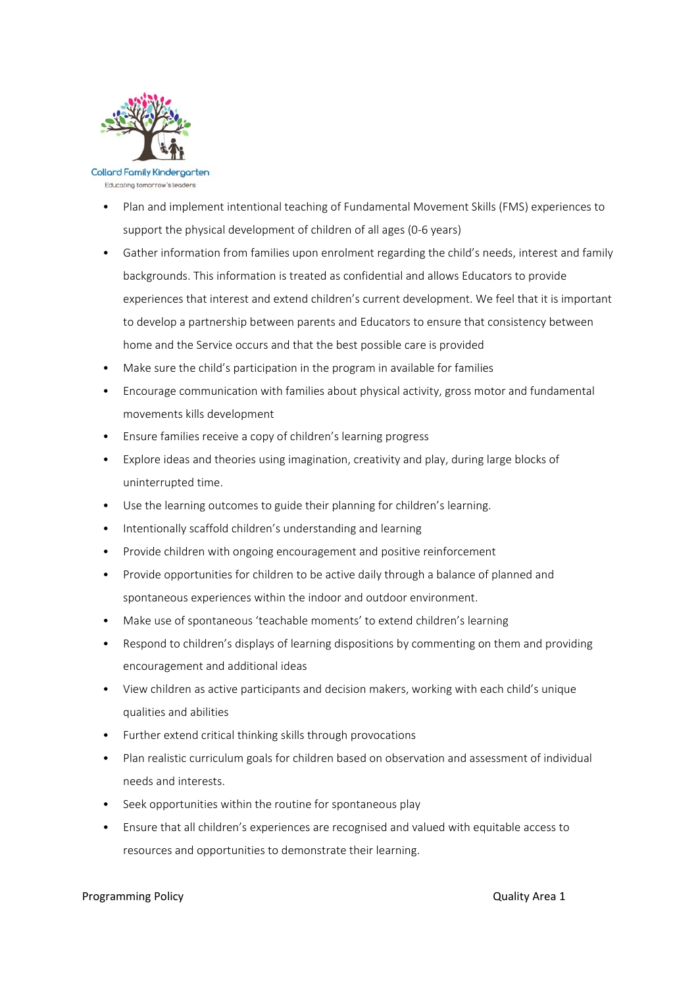

Educating tomorrow's leaders

- Plan and implement intentional teaching of Fundamental Movement Skills (FMS) experiences to support the physical development of children of all ages (0‐6 years)
- Gather information from families upon enrolment regarding the child's needs, interest and family backgrounds. This information is treated as confidential and allows Educators to provide experiences that interest and extend children's current development. We feel that it is important to develop a partnership between parents and Educators to ensure that consistency between home and the Service occurs and that the best possible care is provided
- Make sure the child's participation in the program in available for families
- Encourage communication with families about physical activity, gross motor and fundamental movements kills development
- Ensure families receive a copy of children's learning progress
- Explore ideas and theories using imagination, creativity and play, during large blocks of uninterrupted time.
- Use the learning outcomes to guide their planning for children's learning.
- Intentionally scaffold children's understanding and learning
- Provide children with ongoing encouragement and positive reinforcement
- Provide opportunities for children to be active daily through a balance of planned and spontaneous experiences within the indoor and outdoor environment.
- Make use of spontaneous 'teachable moments' to extend children's learning
- Respond to children's displays of learning dispositions by commenting on them and providing encouragement and additional ideas
- View children as active participants and decision makers, working with each child's unique qualities and abilities
- Further extend critical thinking skills through provocations
- Plan realistic curriculum goals for children based on observation and assessment of individual needs and interests.
- Seek opportunities within the routine for spontaneous play
- Ensure that all children's experiences are recognised and valued with equitable access to resources and opportunities to demonstrate their learning.

#### Programming Policy **Drawing Collect Area 1** and the United States of the United States of the United States of the United States of the United States of the United States of the United States of the United States of the Un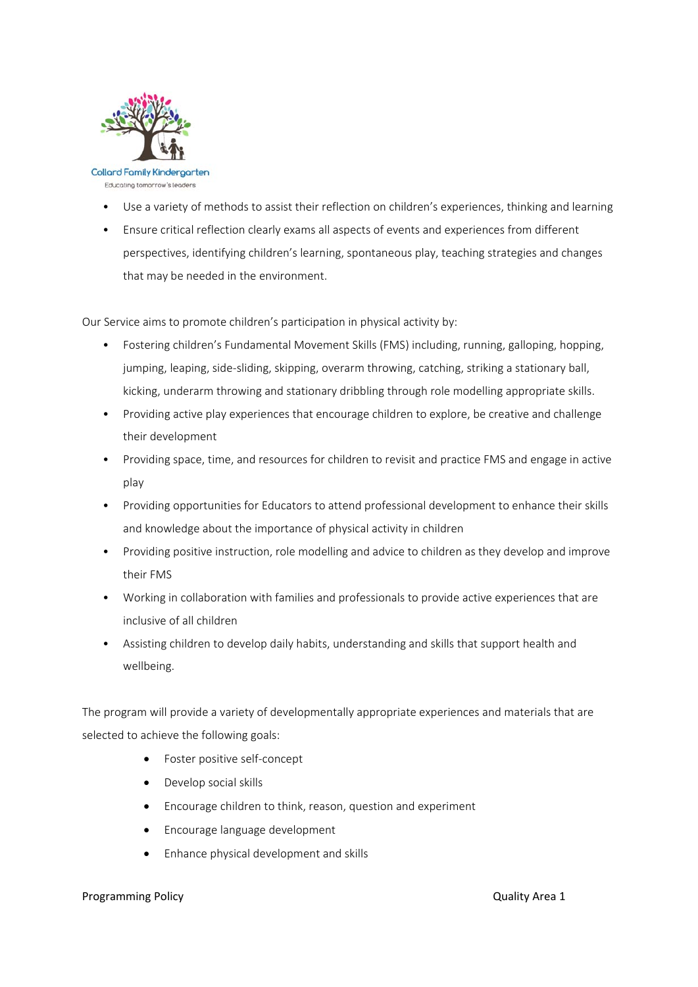

- Use a variety of methods to assist their reflection on children's experiences, thinking and learning
- Ensure critical reflection clearly exams all aspects of events and experiences from different perspectives, identifying children's learning, spontaneous play, teaching strategies and changes that may be needed in the environment.

Our Service aims to promote children's participation in physical activity by:

- Fostering children's Fundamental Movement Skills (FMS) including, running, galloping, hopping, jumping, leaping, side‐sliding, skipping, overarm throwing, catching, striking a stationary ball, kicking, underarm throwing and stationary dribbling through role modelling appropriate skills.
- Providing active play experiences that encourage children to explore, be creative and challenge their development
- Providing space, time, and resources for children to revisit and practice FMS and engage in active play
- Providing opportunities for Educators to attend professional development to enhance their skills and knowledge about the importance of physical activity in children
- Providing positive instruction, role modelling and advice to children as they develop and improve their FMS
- Working in collaboration with families and professionals to provide active experiences that are inclusive of all children
- Assisting children to develop daily habits, understanding and skills that support health and wellbeing.

The program will provide a variety of developmentally appropriate experiences and materials that are selected to achieve the following goals:

- Foster positive self-concept
- Develop social skills
- Encourage children to think, reason, question and experiment
- Encourage language development
- Enhance physical development and skills

#### Programming Policy **Contains a struck of the Container Struck** Contains a Cuality Area 1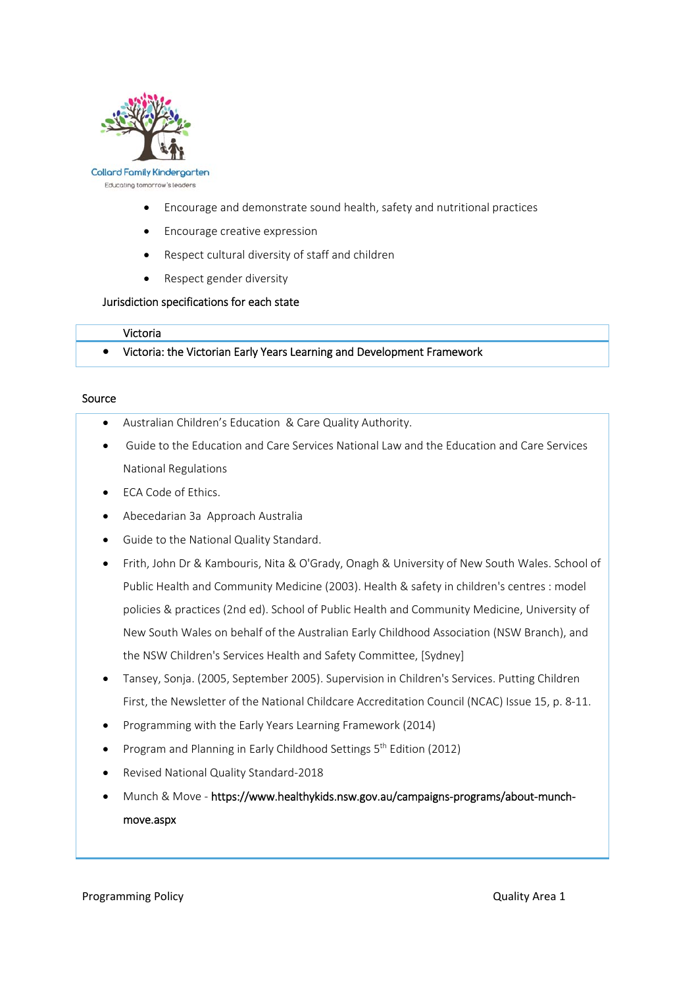

- Encourage and demonstrate sound health, safety and nutritional practices
- Encourage creative expression
- Respect cultural diversity of staff and children
- Respect gender diversity

# Jurisdiction specifications for each state

#### Victoria

Victoria: the Victorian Early Years Learning and Development Framework

#### Source

- Australian Children's Education & Care Quality Authority.
- Guide to the Education and Care Services National Law and the Education and Care Services National Regulations
- ECA Code of Ethics.
- Abecedarian 3a Approach Australia
- Guide to the National Quality Standard.
- Frith, John Dr & Kambouris, Nita & O'Grady, Onagh & University of New South Wales. School of Public Health and Community Medicine (2003). Health & safety in children's centres : model policies & practices (2nd ed). School of Public Health and Community Medicine, University of New South Wales on behalf of the Australian Early Childhood Association (NSW Branch), and the NSW Children's Services Health and Safety Committee, [Sydney]
- Tansey, Sonja. (2005, September 2005). Supervision in Children's Services. Putting Children First, the Newsletter of the National Childcare Accreditation Council (NCAC) Issue 15, p. 8‐11.
- Programming with the Early Years Learning Framework (2014)
- Program and Planning in Early Childhood Settings 5<sup>th</sup> Edition (2012)
- Revised National Quality Standard‐2018
- Munch & Move https://www.healthykids.nsw.gov.au/campaigns-programs/about-munchmove.aspx